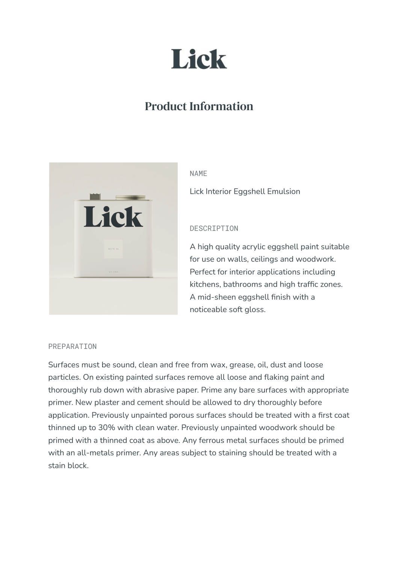

# Product Information



#### NAME

Lick Interior Eggshell Emulsion

## DESCRIPTION

A high quality acrylic eggshell paint suitable for use on walls, ceilings and woodwork. Perfect for interior applications including kitchens, bathrooms and high traffic zones. A mid-sheen eggshell finish with a noticeable soft gloss.

#### PREPARATION

Surfaces must be sound, clean and free from wax, grease, oil, dust and loose particles. On existing painted surfaces remove all loose and flaking paint and thoroughly rub down with abrasive paper. Prime any bare surfaces with appropriate primer. New plaster and cement should be allowed to dry thoroughly before application. Previously unpainted porous surfaces should be treated with a first coat thinned up to 30% with clean water. Previously unpainted woodwork should be primed with a thinned coat as above. Any ferrous metal surfaces should be primed with an all-metals primer. Any areas subject to staining should be treated with a stain block.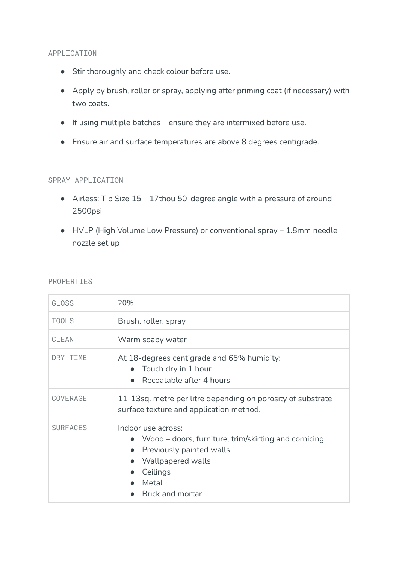### APPLICATION

- Stir thoroughly and check colour before use.
- Apply by brush, roller or spray, applying after priming coat (if necessary) with two coats.
- $\bullet$  If using multiple batches ensure they are intermixed before use.
- Ensure air and surface temperatures are above 8 degrees centigrade.

# SPRAY APPLICATION

- Airless: Tip Size 15 17thou 50-degree angle with a pressure of around 2500psi
- HVLP (High Volume Low Pressure) or conventional spray 1.8mm needle nozzle set up

#### PROPERTIES

| <b>GLOSS</b>    | 20%                                                                                                                                                                      |
|-----------------|--------------------------------------------------------------------------------------------------------------------------------------------------------------------------|
| <b>TOOLS</b>    | Brush, roller, spray                                                                                                                                                     |
| <b>CLEAN</b>    | Warm soapy water                                                                                                                                                         |
| DRY TIME        | At 18-degrees centigrade and 65% humidity:<br>Touch dry in 1 hour<br>Recoatable after 4 hours                                                                            |
| COVERAGE        | 11-13sq. metre per litre depending on porosity of substrate<br>surface texture and application method.                                                                   |
| <b>SURFACES</b> | Indoor use across:<br>• Wood – doors, furniture, trim/skirting and cornicing<br>• Previously painted walls<br>Wallpapered walls<br>Ceilings<br>Metal<br>Brick and mortar |